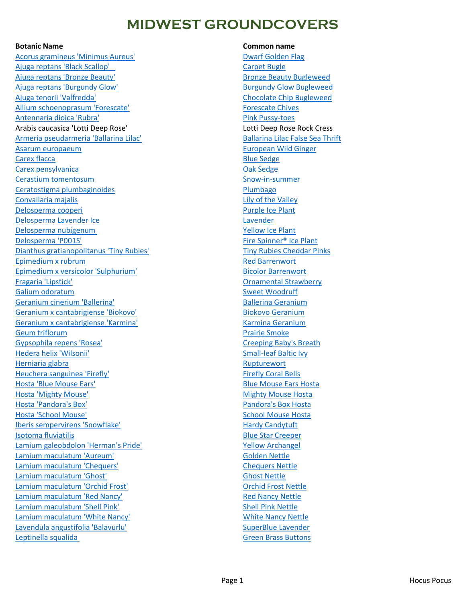## **MIDWEST GROUNDCOVERS**

[Acorus gramineus 'Minimus Aureus'](https://www.midwestgroundcovers.com/plant/dwarf-golden-sweet-flag/) [Dwarf Golden Flag](https://www.midwestgroundcovers.com/plant/dwarf-golden-sweet-flag/) [Ajuga reptans 'Black Scallop' Carpet Bugle](https://www.midwestgroundcovers.com/plant/ajuga-reptans-black-scallop/) [Ajuga reptans 'Bronze Beauty'](https://www.midwestgroundcovers.com/plant/bronze-beauty-bugleweed/) and the state of the [Bronze Beauty Bugleweed](https://www.midwestgroundcovers.com/plant/bronze-beauty-bugleweed/) [Ajuga reptans 'Burgundy Glow'](https://www.midwestgroundcovers.com/plant/burgundy-glow-bugleweed/) and the state of the [Burgundy Glow Bugleweed](https://www.midwestgroundcovers.com/plant/burgundy-glow-bugleweed/) [Ajuga tenorii 'Valfredda'](https://www.midwestgroundcovers.com/plant/chocolate-chip-bugleweed/) [Chocolate Chip Bugleweed](https://www.midwestgroundcovers.com/plant/chocolate-chip-bugleweed/) [Allium schoenoprasum 'Forescate'](https://www.midwestgroundcovers.com/plant/forescate-chives/) [Forescate Chives](https://www.midwestgroundcovers.com/plant/forescate-chives/) [Antennaria dioica 'Rubra'](https://www.midwestgroundcovers.com/plant/pink-pussy-toes/) [Pink Pussy-toes](https://www.midwestgroundcovers.com/plant/pink-pussy-toes/) Arabis caucasica 'Lotti Deep Rose' Lotti Deep Rose Rock Cress [Armeria pseudarmeria 'Ballarina Lilac'](https://www.midwestgroundcovers.com/plant/false-sea-thrift/) [Ballarina Lilac False Sea Thrift](https://www.midwestgroundcovers.com/plant/false-sea-thrift/) [Asarum europaeum](https://www.midwestgroundcovers.com/plant/european-wild-ginger/) [European Wild Ginger](https://www.midwestgroundcovers.com/plant/european-wild-ginger/) [Carex flacca](https://www.midwestgroundcovers.com/plant/blue-sedge/) **[Blue Sedge](https://www.midwestgroundcovers.com/plant/blue-sedge/)** Blue Sedge **Blue Sedge** Blue Sedge Blue Sedge Blue Sedge Blue Sedge Blue Sedge Blue Sedge [Carex pensylvanica](https://www.midwestgroundcovers.com/plant/common-oak-sedge-2/) [Oak Sedge](https://www.midwestgroundcovers.com/plant/common-oak-sedge-2/) [Cerastium tomentosum](https://www.midwestgroundcovers.com/plant/snow-in-summer/) [Snow-in-summer](https://www.midwestgroundcovers.com/plant/snow-in-summer/) [Ceratostigma plumbaginoides](https://www.midwestgroundcovers.com/plant/plumbago/) et al. et al. et al. et al. et al. et al. et al. et al. et al. et al. et al. et al [Convallaria majalis](https://www.midwestgroundcovers.com/plant/lily-of-the-valley/) **Convallaria majalis** [Lily of the Valley](https://www.midwestgroundcovers.com/plant/lily-of-the-valley/) [Delosperma cooperi](https://www.midwestgroundcovers.com/plant/purple-ice-plant/) [Purple Ice Plant](https://www.midwestgroundcovers.com/plant/purple-ice-plant/) [Delosperma Lavender Ice](https://www.midwestgroundcovers.com/plant/lavender-ice-ice-plant/) **[Lavender](https://www.midwestgroundcovers.com/plant/lavender-ice-ice-plant/)** Communication and Lavender [Delosperma nubigenum Yellow Ice Plant](https://www.midwestgroundcovers.com/plant/yellow-ice-plant/) [Delosperma 'P001S'](https://www.midwestgroundcovers.com/plant/fire-spinner-ice-plant/) extending the Spinner® Ice Plant [Dianthus gratianopolitanus 'Tiny Rubies'](https://www.midwestgroundcovers.com/plant/cheddar-pinks/) [Tiny Rubies Cheddar Pinks](https://www.midwestgroundcovers.com/plant/cheddar-pinks/) [Epimedium x rubrum](https://www.midwestgroundcovers.com/plant/red-barrenwort/) [Red Barrenwort](https://www.midwestgroundcovers.com/plant/red-barrenwort/) [Epimedium x versicolor 'Sulphurium'](https://www.midwestgroundcovers.com/plant/bicolor-barrenwort/) and a series of the [Bicolor Barrenwort](https://www.midwestgroundcovers.com/plant/bicolor-barrenwort/) [Fragaria 'Lipstick'](https://www.midwestgroundcovers.com/plant/ornamental-strawberry/) [Ornamental Strawberry](https://www.midwestgroundcovers.com/plant/ornamental-strawberry/) [Galium odoratum](https://www.midwestgroundcovers.com/plant/sweet-woodruff/) and the state of the state of the [Sweet Woodruff](https://www.midwestgroundcovers.com/plant/sweet-woodruff/) [Geranium cinerium 'Ballerina'](https://www.midwestgroundcovers.com/plant/ballerina-geranium/) Bandari [Ballerina Geranium](https://www.midwestgroundcovers.com/plant/ballerina-geranium/) [Geranium x cantabrigiense 'Biokovo'](https://www.midwestgroundcovers.com/plant/biokovo-geranium/) [Biokovo Geranium](https://www.midwestgroundcovers.com/plant/biokovo-geranium/) [Geranium x cantabrigiense 'Karmina'](https://www.midwestgroundcovers.com/plant/karmina-geranium/) [Karmina Geranium](https://www.midwestgroundcovers.com/plant/karmina-geranium/) [Geum triflorum](https://www.midwestgroundcovers.com/plant/prairie-smoke/) and the contract of the contract of the contract of the [Prairie Smoke](https://www.midwestgroundcovers.com/plant/prairie-smoke/) [Gypsophila repens 'Rosea'](https://www.midwestgroundcovers.com/plant/creeping-babys-breath/) [Creeping Baby's Breath](https://www.midwestgroundcovers.com/plant/creeping-babys-breath/) [Hedera helix 'Wilsonii'](https://www.midwestgroundcovers.com/plant/small-leaf-baltic-ivy/) [Small-leaf Baltic Ivy](https://www.midwestgroundcovers.com/plant/small-leaf-baltic-ivy/) [Herniaria glabra](https://www.midwestgroundcovers.com/plant/rupturewort/) **[Rupturewort](https://www.midwestgroundcovers.com/plant/rupturewort/) Rupturewort Rupturewort** [Heuchera sanguinea 'Firefly'](https://www.midwestgroundcovers.com/plant/firefly-coralbells/) Firefly [Firefly Coral Bells](https://www.midwestgroundcovers.com/plant/firefly-coralbells/) [Hosta 'Blue Mouse Ears'](https://www.midwestgroundcovers.com/plant/hosta-15/) [Blue Mouse Ears Hosta](https://www.midwestgroundcovers.com/plant/hosta-15/) [Hosta 'Mighty Mouse'](https://www.midwestgroundcovers.com/plant/hosta-12/) [Mighty Mouse Hosta](https://www.midwestgroundcovers.com/plant/hosta-12/) [Hosta 'Pandora's Box'](https://www.midwestgroundcovers.com/plant/hosta-8/) [Pandora's Box Hosta](https://www.midwestgroundcovers.com/plant/hosta-8/) Pandora's Box Hosta [Hosta 'School Mouse'](https://www.midwestgroundcovers.com/plant/hosta-7/) [School Mouse Hosta](https://www.midwestgroundcovers.com/plant/hosta-7/) [Iberis sempervirens 'Snowflake'](https://www.midwestgroundcovers.com/plant/hardy-candytuft/) Manus Candytuft [Hardy Candytuft](https://www.midwestgroundcovers.com/plant/hardy-candytuft/) [Isotoma fluviatilis](https://www.midwestgroundcovers.com/plant/blue-star-creeper/) and the star Creeper of the [Blue Star Creeper](https://www.midwestgroundcovers.com/plant/blue-star-creeper/) [Lamium galeobdolon 'Herman's Pride'](https://www.midwestgroundcovers.com/plant/yellow-archangel/) New [Yellow Archangel](https://www.midwestgroundcovers.com/plant/yellow-archangel/) [Lamium maculatum 'Aureum'](https://www.midwestgroundcovers.com/plant/lamium-aureum/) Colden Nettle [Lamium maculatum 'Chequers'](https://www.midwestgroundcovers.com/plant/nettle-5/) [Chequers Nettle](https://www.midwestgroundcovers.com/plant/nettle-5/) [Lamium maculatum 'Ghost'](https://www.midwestgroundcovers.com/plant/nettle/) [Ghost Nettle](https://www.midwestgroundcovers.com/plant/nettle/) [Lamium maculatum 'Orchid Frost'](https://www.midwestgroundcovers.com/plant/nettle-6/) [Orchid Frost Nettle](https://www.midwestgroundcovers.com/plant/nettle-6/) [Lamium maculatum 'Red Nancy'](https://www.midwestgroundcovers.com/plant/nettle-4/) **Example 2018** [Red Nancy Nettle](https://www.midwestgroundcovers.com/plant/nettle-4/) [Lamium maculatum 'Shell Pink'](https://www.midwestgroundcovers.com/plant/nettle-3/) [Shell Pink Nettle](https://www.midwestgroundcovers.com/plant/nettle-3/) [Lamium maculatum 'White Nancy'](https://www.midwestgroundcovers.com/plant/nettle-7/) [White Nancy Nettle](https://www.midwestgroundcovers.com/plant/nettle-7/) [Lavendula angustifolia 'Balavurlu'](https://www.midwestgroundcovers.com/plant/superblue-english-lavender/) [SuperBlue Lavender](https://www.midwestgroundcovers.com/plant/superblue-english-lavender/) [Leptinella squalida Green Brass Buttons](https://www.midwestgroundcovers.com/plant/green-brass-buttons/)

### **Botanic Name Common name**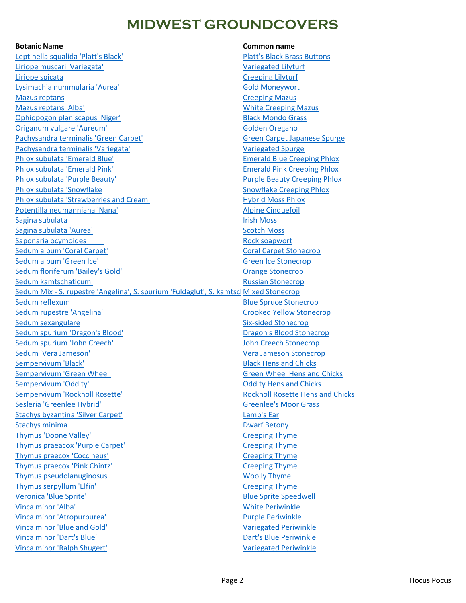## **MIDWEST GROUNDCOVERS**

[Leptinella squalida 'Platt's Black'](https://www.midwestgroundcovers.com/plant/brass-buttons/) [Platt's Black Brass Buttons](https://www.midwestgroundcovers.com/plant/brass-buttons/) [Liriope muscari 'Variegata'](https://www.midwestgroundcovers.com/plant/variegated-lilyturf/) [Variegated Lilyturf](https://www.midwestgroundcovers.com/plant/variegated-lilyturf/) [Liriope spicata](https://www.midwestgroundcovers.com/plant/creeping-lilyturf/) [Creeping Lilyturf](https://www.midwestgroundcovers.com/plant/creeping-lilyturf/) [Lysimachia nummularia 'Aurea'](https://www.midwestgroundcovers.com/plant/golden-moneywort/) Channel Cold Moneywort **[Mazus reptans](https://www.midwestgroundcovers.com/plant/creeping-mazus/) [Creeping Mazus](https://www.midwestgroundcovers.com/plant/creeping-mazus/)** Creeping Mazus [Mazus reptans 'Alba'](https://www.midwestgroundcovers.com/plant/white-creeping-mazus/) [White Creeping Mazus](https://www.midwestgroundcovers.com/plant/white-creeping-mazus/) [Ophiopogon planiscapus 'Niger'](https://www.midwestgroundcovers.com/plant/black-mondo-grass/) [Black Mondo Grass](https://www.midwestgroundcovers.com/plant/black-mondo-grass/) [Origanum vulgare 'Aureum'](https://www.midwestgroundcovers.com/plant/golden-oregano/) [Golden Oregano](https://www.midwestgroundcovers.com/plant/golden-oregano/) [Pachysandra terminalis 'Green Carpet'](https://www.midwestgroundcovers.com/plant/japanese-spurge/) [Green Carpet Japanese Spurge](https://www.midwestgroundcovers.com/plant/japanese-spurge/) [Pachysandra terminalis 'Variegata'](https://www.midwestgroundcovers.com/plant/variegated-spurge/) [Variegated Spurge](https://www.midwestgroundcovers.com/plant/variegated-spurge/) [Phlox subulata 'Emerald Blue'](https://www.midwestgroundcovers.com/plant/emerald-blue-creeping-phlox/) [Emerald Blue Creeping Phlox](https://www.midwestgroundcovers.com/plant/emerald-blue-creeping-phlox/) [Phlox subulata 'Emerald Pink'](https://www.midwestgroundcovers.com/plant/emerald-pink-creeping-phlox/) [Emerald Pink Creeping Phlox](https://www.midwestgroundcovers.com/plant/emerald-pink-creeping-phlox/) [Phlox subulata 'Purple Beauty'](https://www.midwestgroundcovers.com/plant/purple-beauty-creeping-phlox/) and the extendion of the [Purple Beauty Creeping Phlox](https://www.midwestgroundcovers.com/plant/purple-beauty-creeping-phlox/) [Phlox subulata 'Snowflake](https://www.midwestgroundcovers.com/plant/snowflake-creeping-phlox/) Snowflake [Snowflake Creeping Phlox](https://www.midwestgroundcovers.com/plant/snowflake-creeping-phlox/) [Phlox subulata 'Strawberries and Cream'](https://www.midwestgroundcovers.com/plant/hybrid-moss-phlox/) [Hybrid Moss Phlox](https://www.midwestgroundcovers.com/plant/hybrid-moss-phlox/) [Potentilla neumanniana 'Nana'](https://www.midwestgroundcovers.com/plant/alpine-cinquefoil/) [Alpine Cinquefoil](https://www.midwestgroundcovers.com/plant/alpine-cinquefoil/) [Sagina subulata](https://www.midwestgroundcovers.com/plant/irish-moss/) **[Irish Moss](https://www.midwestgroundcovers.com/plant/irish-moss/)** [Sagina subulata 'Aurea'](https://www.midwestgroundcovers.com/plant/scotch-moss/) [Scotch Moss](https://www.midwestgroundcovers.com/plant/scotch-moss/) Saponaria ocymoides **Rock soapwort** [Sedum album 'Coral Carpet'](https://www.midwestgroundcovers.com/plant/coral-carpet-stonecrop/) Coral Carpetic [Coral Carpet Stonecrop](https://www.midwestgroundcovers.com/plant/coral-carpet-stonecrop/) [Sedum album 'Green Ice'](https://www.midwestgroundcovers.com/plant/green-ice-stonecrop/) [Green Ice Stonecrop](https://www.midwestgroundcovers.com/plant/green-ice-stonecrop/) [Sedum floriferum 'Bailey's Gold'](https://www.midwestgroundcovers.com/plant/orange-stonecrop/) Change Stonecrop [Sedum kamtschaticum Russian Stonecrop](https://www.midwestgroundcovers.com/plant/russian-stonecrop/) Sedum Mix - S. rupestre 'Angelina', S. spurium 'Fuldaglut', S. kamtscl Mixed Stonecrop [Sedum reflexum](https://www.midwestgroundcovers.com/plant/blue-spruce-stonecrop/) and the stonecrop of the Sedum reflexum and the Sedum [Blue Spruce Stonecrop](https://www.midwestgroundcovers.com/plant/blue-spruce-stonecrop/) [Sedum rupestre 'Angelina'](https://www.midwestgroundcovers.com/plant/crooked-yellow-stonecrop/) [Crooked Yellow Stonecrop](https://www.midwestgroundcovers.com/plant/crooked-yellow-stonecrop/) [Sedum sexangulare](https://www.midwestgroundcovers.com/plant/six-sided-stonecrop/) Sedum sexangulare [Six-sided Stonecrop](https://www.midwestgroundcovers.com/plant/six-sided-stonecrop/) [Sedum spurium 'Dragon's Blood'](https://www.midwestgroundcovers.com/plant/dragons-blood-stonecrop/) [Dragon's Blood Stonecrop](https://www.midwestgroundcovers.com/plant/dragons-blood-stonecrop/) [Sedum spurium 'John Creech'](https://www.midwestgroundcovers.com/plant/john-creech-stonecrop/) [John Creech Stonecrop](https://www.midwestgroundcovers.com/plant/john-creech-stonecrop/) [Sedum 'Vera Jameson'](https://www.midwestgroundcovers.com/plant/vera-jameson-stonecrop/) [Vera Jameson Stonecrop](https://www.midwestgroundcovers.com/plant/vera-jameson-stonecrop/) [Sempervivum 'Black'](https://www.midwestgroundcovers.com/plant/hens-and-chicks-2/) and Chicks and Chicks and Chicks and Chicks and Chicks and Chicks and Chicks and Chicks and Chicks and Chicks and Chicks and Chicks and Chicks and Chicks and Chicks and Chicks and Chicks and Chicks and [Sempervivum 'Green Wheel'](https://www.midwestgroundcovers.com/plant/hens-and-chicks-5/) [Green Wheel Hens and Chicks](https://www.midwestgroundcovers.com/plant/hens-and-chicks-5/) [Sempervivum 'Oddity'](https://www.midwestgroundcovers.com/plant/hens-and-chicks-3/) [Oddity Hens and Chicks](https://www.midwestgroundcovers.com/plant/hens-and-chicks-3/) [Sempervivum 'Rocknoll Rosette'](https://www.midwestgroundcovers.com/plant/hens-and-chicks-4/) [Rocknoll Rosette Hens and Chicks](https://www.midwestgroundcovers.com/plant/hens-and-chicks-4/) [Sesleria 'Greenlee Hybrid' Greenlee's Moor Grass](https://www.midwestgroundcovers.com/plant/greenlees-moor-grass/) [Stachys byzantina 'Silver Carpet'](https://www.midwestgroundcovers.com/plant/lambs-ear/) [Lamb's Ear](https://www.midwestgroundcovers.com/plant/lambs-ear/) Lamb's Ear Lamb's Ear Lamb's Ear Lamb's Ear **[Stachys minima](https://www.midwestgroundcovers.com/plant/dwarf-betony/)** [Dwarf Betony](https://www.midwestgroundcovers.com/plant/dwarf-betony/) [Thymus 'Doone Valley'](https://www.midwestgroundcovers.com/plant/creeping-thyme-4/) Thyme [Creeping Thyme](https://www.midwestgroundcovers.com/plant/creeping-thyme-4/) [Thymus praeacox 'Purple Carpet'](https://www.midwestgroundcovers.com/plant/creeping-thyme-2/) [Creeping Thyme](https://www.midwestgroundcovers.com/plant/creeping-thyme-2/) [Thymus praecox 'Coccineus'](https://www.midwestgroundcovers.com/plant/creeping-thyme-5/) Care Communication of the [Creeping Thyme](https://www.midwestgroundcovers.com/plant/creeping-thyme-5/) [Thymus praecox 'Pink Chintz'](https://www.midwestgroundcovers.com/plant/creeping-thyme/) [Creeping Thyme](https://www.midwestgroundcovers.com/plant/creeping-thyme/) [Thymus pseudolanuginosus](https://www.midwestgroundcovers.com/plant/woolly-thyme/) [Woolly Thyme](https://www.midwestgroundcovers.com/plant/woolly-thyme/) [Thymus serpyllum 'Elfin'](https://www.midwestgroundcovers.com/plant/creeping-thyme-3/) [Creeping Thyme](https://www.midwestgroundcovers.com/plant/creeping-thyme-3/) [Veronica 'Blue Sprite'](https://www.midwestgroundcovers.com/plant/speedwell/) [Blue Sprite Speedwell](https://www.midwestgroundcovers.com/plant/speedwell/) [Vinca minor 'Alba'](https://www.midwestgroundcovers.com/plant/white-periwinkle/) [White Periwinkle](https://www.midwestgroundcovers.com/plant/white-periwinkle/) [Vinca minor 'Atropurpurea'](https://www.midwestgroundcovers.com/plant/purple-periwinkle/) [Purple Periwinkle](https://www.midwestgroundcovers.com/plant/purple-periwinkle/) [Vinca minor 'Blue and Gold'](https://www.midwestgroundcovers.com/plant/variegated-periwinkle/) [Variegated Periwinkle](https://www.midwestgroundcovers.com/plant/variegated-periwinkle/) [Vinca minor 'Dart's Blue'](https://www.midwestgroundcovers.com/plant/darts-blue-periwinkle/) [Dart's Blue Periwinkle](https://www.midwestgroundcovers.com/plant/darts-blue-periwinkle/) [Vinca minor 'Ralph Shugert'](https://www.midwestgroundcovers.com/plant/variegated-periwinkle-2/) Vinca minor 'Ralph Shugert' [Variegated Periwinkle](https://www.midwestgroundcovers.com/plant/variegated-periwinkle-2/)

### **Botanic Name Common name**